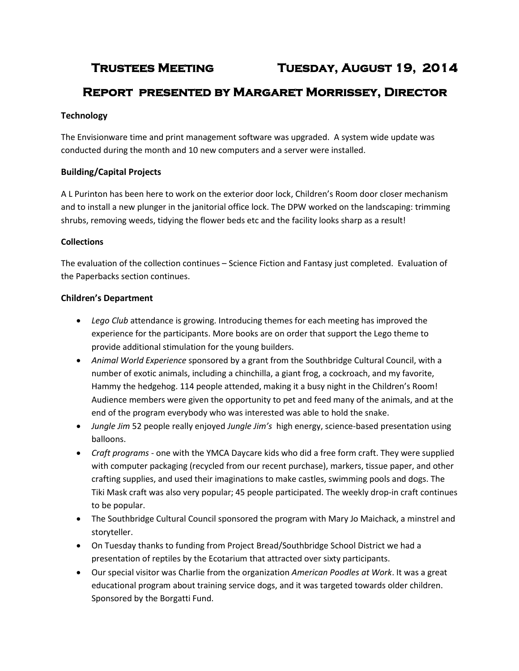# **Trustees Meeting Tuesday, August 19, 2014**

# **Report presented by Margaret Morrissey, Director**

## **Technology**

The Envisionware time and print management software was upgraded. A system wide update was conducted during the month and 10 new computers and a server were installed.

## **Building/Capital Projects**

A L Purinton has been here to work on the exterior door lock, Children's Room door closer mechanism and to install a new plunger in the janitorial office lock. The DPW worked on the landscaping: trimming shrubs, removing weeds, tidying the flower beds etc and the facility looks sharp as a result!

#### **Collections**

The evaluation of the collection continues – Science Fiction and Fantasy just completed. Evaluation of the Paperbacks section continues.

### **Children's Department**

- *Lego Club* attendance is growing. Introducing themes for each meeting has improved the experience for the participants. More books are on order that support the Lego theme to provide additional stimulation for the young builders.
- *Animal World Experience* sponsored by a grant from the Southbridge Cultural Council, with a number of exotic animals, including a chinchilla, a giant frog, a cockroach, and my favorite, Hammy the hedgehog. 114 people attended, making it a busy night in the Children's Room! Audience members were given the opportunity to pet and feed many of the animals, and at the end of the program everybody who was interested was able to hold the snake.
- *Jungle Jim* 52 people really enjoyed *Jungle Jim's* high energy, science-based presentation using balloons.
- *Craft programs* one with the YMCA Daycare kids who did a free form craft. They were supplied with computer packaging (recycled from our recent purchase), markers, tissue paper, and other crafting supplies, and used their imaginations to make castles, swimming pools and dogs. The Tiki Mask craft was also very popular; 45 people participated. The weekly drop-in craft continues to be popular.
- The Southbridge Cultural Council sponsored the program with Mary Jo Maichack, a minstrel and storyteller.
- On Tuesday thanks to funding from Project Bread/Southbridge School District we had a presentation of reptiles by the Ecotarium that attracted over sixty participants.
- Our special visitor was Charlie from the organization *American Poodles at Work*. It was a great educational program about training service dogs, and it was targeted towards older children. Sponsored by the Borgatti Fund.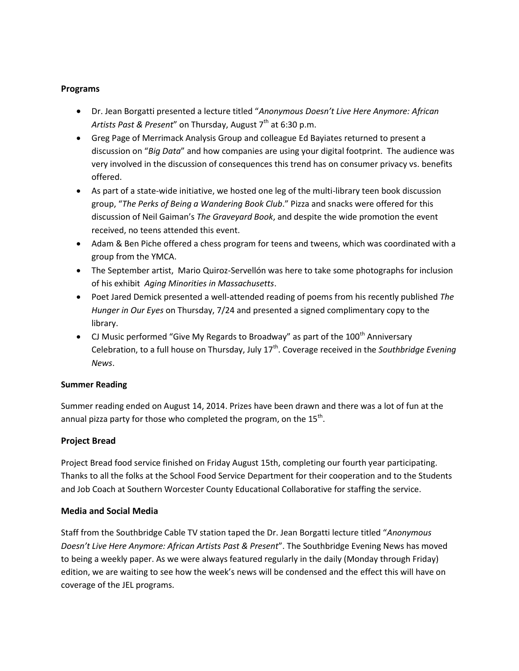#### **Programs**

- Dr. Jean Borgatti presented a lecture titled "*Anonymous Doesn't Live Here Anymore: African* Artists Past & Present" on Thursday, August 7<sup>th</sup> at 6:30 p.m.
- Greg Page of Merrimack Analysis Group and colleague Ed Bayiates returned to present a discussion on "*Big Data*" and how companies are using your digital footprint. The audience was very involved in the discussion of consequences this trend has on consumer privacy vs. benefits offered.
- As part of a state-wide initiative, we hosted one leg of the multi-library teen book discussion group, "*The Perks of Being a Wandering Book Club*." Pizza and snacks were offered for this discussion of Neil Gaiman's *The Graveyard Book*, and despite the wide promotion the event received, no teens attended this event.
- Adam & Ben Piche offered a chess program for teens and tweens, which was coordinated with a group from the YMCA.
- The September artist, Mario Quiroz-Servellón was here to take some photographs for inclusion of his exhibit *Aging Minorities in Massachusetts*.
- Poet Jared Demick presented a well-attended reading of poems from his recently published *The Hunger in Our Eyes* on Thursday, 7/24 and presented a signed complimentary copy to the library.
- CJ Music performed "Give My Regards to Broadway" as part of the  $100<sup>th</sup>$  Anniversary Celebration, to a full house on Thursday, July 17<sup>th</sup>. Coverage received in the *Southbridge Evening News*.

#### **Summer Reading**

Summer reading ended on August 14, 2014. Prizes have been drawn and there was a lot of fun at the annual pizza party for those who completed the program, on the 15<sup>th</sup>.

# **Project Bread**

Project Bread food service finished on Friday August 15th, completing our fourth year participating. Thanks to all the folks at the School Food Service Department for their cooperation and to the Students and Job Coach at Southern Worcester County Educational Collaborative for staffing the service.

#### **Media and Social Media**

Staff from the Southbridge Cable TV station taped the Dr. Jean Borgatti lecture titled "*Anonymous Doesn't Live Here Anymore: African Artists Past & Present*". The Southbridge Evening News has moved to being a weekly paper. As we were always featured regularly in the daily (Monday through Friday) edition, we are waiting to see how the week's news will be condensed and the effect this will have on coverage of the JEL programs.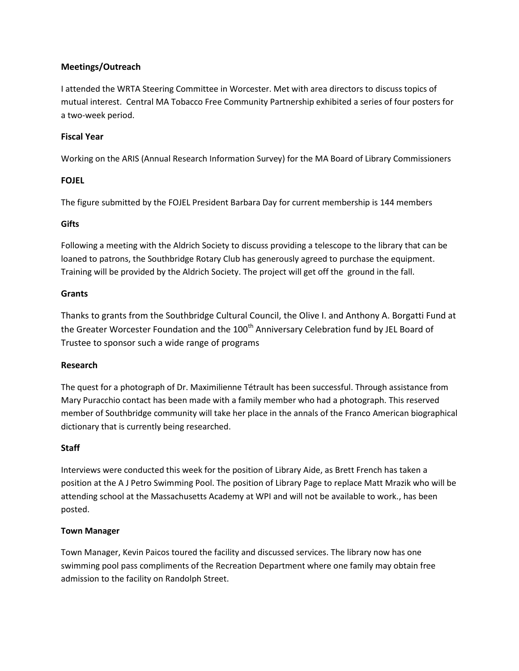# **Meetings/Outreach**

I attended the WRTA Steering Committee in Worcester. Met with area directors to discuss topics of mutual interest. Central MA Tobacco Free Community Partnership exhibited a series of four posters for a two-week period.

# **Fiscal Year**

Working on the ARIS (Annual Research Information Survey) for the MA Board of Library Commissioners

# **FOJEL**

The figure submitted by the FOJEL President Barbara Day for current membership is 144 members

### **Gifts**

Following a meeting with the Aldrich Society to discuss providing a telescope to the library that can be loaned to patrons, the Southbridge Rotary Club has generously agreed to purchase the equipment. Training will be provided by the Aldrich Society. The project will get off the ground in the fall.

# **Grants**

Thanks to grants from the Southbridge Cultural Council, the Olive I. and Anthony A. Borgatti Fund at the Greater Worcester Foundation and the 100<sup>th</sup> Anniversary Celebration fund by JEL Board of Trustee to sponsor such a wide range of programs

# **Research**

The quest for a photograph of Dr. Maximilienne Tétrault has been successful. Through assistance from Mary Puracchio contact has been made with a family member who had a photograph. This reserved member of Southbridge community will take her place in the annals of the Franco American biographical dictionary that is currently being researched.

# **Staff**

Interviews were conducted this week for the position of Library Aide, as Brett French has taken a position at the A J Petro Swimming Pool. The position of Library Page to replace Matt Mrazik who will be attending school at the Massachusetts Academy at WPI and will not be available to work., has been posted.

#### **Town Manager**

Town Manager, Kevin Paicos toured the facility and discussed services. The library now has one swimming pool pass compliments of the Recreation Department where one family may obtain free admission to the facility on Randolph Street.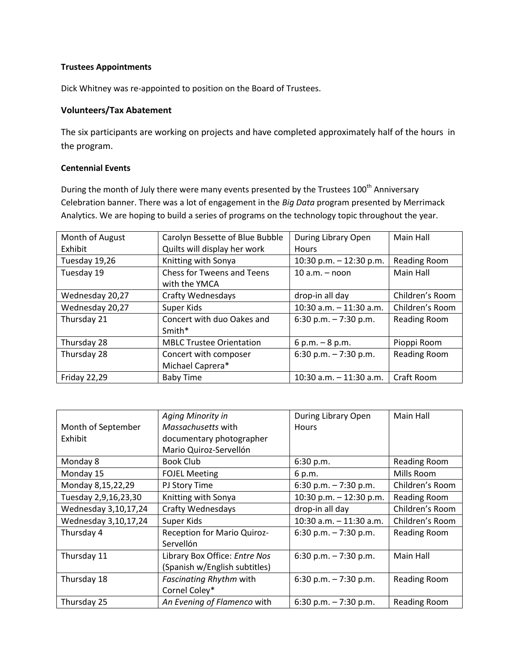#### **Trustees Appointments**

Dick Whitney was re-appointed to position on the Board of Trustees.

#### **Volunteers/Tax Abatement**

The six participants are working on projects and have completed approximately half of the hours in the program.

#### **Centennial Events**

During the month of July there were many events presented by the Trustees 100<sup>th</sup> Anniversary Celebration banner. There was a lot of engagement in the *Big Data* program presented by Merrimack Analytics. We are hoping to build a series of programs on the technology topic throughout the year.

| Month of August     | Carolyn Bessette of Blue Bubble                    | During Library Open       | Main Hall           |
|---------------------|----------------------------------------------------|---------------------------|---------------------|
| Exhibit             | Quilts will display her work                       | <b>Hours</b>              |                     |
| Tuesday 19,26       | Knitting with Sonya                                | 10:30 p.m. $-$ 12:30 p.m. | Reading Room        |
| Tuesday 19          | <b>Chess for Tweens and Teens</b><br>with the YMCA | $10 a.m. - noon$          | Main Hall           |
| Wednesday 20,27     | Crafty Wednesdays                                  | drop-in all day           | Children's Room     |
| Wednesday 20,27     | Super Kids                                         | 10:30 a.m. $-$ 11:30 a.m. | Children's Room     |
| Thursday 21         | Concert with duo Oakes and<br>Smith*               | 6:30 p.m. $-7:30$ p.m.    | Reading Room        |
| Thursday 28         | <b>MBLC Trustee Orientation</b>                    | $6 p.m. - 8 p.m.$         | Pioppi Room         |
| Thursday 28         | Concert with composer<br>Michael Caprera*          | 6:30 p.m. $-7:30$ p.m.    | <b>Reading Room</b> |
| <b>Friday 22,29</b> | <b>Baby Time</b>                                   | 10:30 a.m. $-11:30$ a.m.  | Craft Room          |

|                      | Aging Minority in              | During Library Open        | Main Hall           |
|----------------------|--------------------------------|----------------------------|---------------------|
| Month of September   | <i>Massachusetts</i> with      | <b>Hours</b>               |                     |
| Exhibit              | documentary photographer       |                            |                     |
|                      | Mario Quiroz-Servellón         |                            |                     |
| Monday 8             | Book Club                      | 6:30 p.m.                  | <b>Reading Room</b> |
| Monday 15            | <b>FOJEL Meeting</b>           | 6 p.m.                     | Mills Room          |
| Monday 8,15,22,29    | PJ Story Time                  | 6:30 p.m. $-7:30$ p.m.     | Children's Room     |
| Tuesday 2,9,16,23,30 | Knitting with Sonya            | 10:30 p.m. $-$ 12:30 p.m.  | Reading Room        |
| Wednesday 3,10,17,24 | Crafty Wednesdays              | drop-in all day            | Children's Room     |
| Wednesday 3,10,17,24 | Super Kids                     | $10:30$ a.m. $-11:30$ a.m. | Children's Room     |
| Thursday 4           | Reception for Mario Quiroz-    | 6:30 p.m. $-7:30$ p.m.     | Reading Room        |
|                      | Servellón                      |                            |                     |
| Thursday 11          | Library Box Office: Entre Nos  | 6:30 p.m. $- 7:30$ p.m.    | Main Hall           |
|                      | (Spanish w/English subtitles)  |                            |                     |
| Thursday 18          | <b>Fascinating Rhythm with</b> | 6:30 p.m. $-7:30$ p.m.     | <b>Reading Room</b> |
|                      | Cornel Coley*                  |                            |                     |
| Thursday 25          | An Evening of Flamenco with    | 6:30 p.m. $-7:30$ p.m.     | Reading Room        |